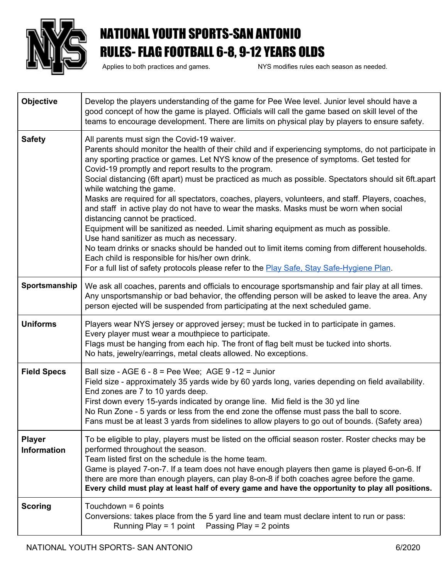

## NATIONAL YOUTH SPORTS-SAN ANTONIO RULES- FLAG FOOTBALL 6-8, 9-12 YEARS OLDS

Applies to both practices and games. NYS modifies rules each season as needed.

| <b>Objective</b>                    | Develop the players understanding of the game for Pee Wee level. Junior level should have a<br>good concept of how the game is played. Officials will call the game based on skill level of the<br>teams to encourage development. There are limits on physical play by players to ensure safety.                                                                                                                                                                                                                                                                                                                                                                                                                                                                                                                                                                                                                                                                                                                                                                   |
|-------------------------------------|---------------------------------------------------------------------------------------------------------------------------------------------------------------------------------------------------------------------------------------------------------------------------------------------------------------------------------------------------------------------------------------------------------------------------------------------------------------------------------------------------------------------------------------------------------------------------------------------------------------------------------------------------------------------------------------------------------------------------------------------------------------------------------------------------------------------------------------------------------------------------------------------------------------------------------------------------------------------------------------------------------------------------------------------------------------------|
| <b>Safety</b>                       | All parents must sign the Covid-19 waiver.<br>Parents should monitor the health of their child and if experiencing symptoms, do not participate in<br>any sporting practice or games. Let NYS know of the presence of symptoms. Get tested for<br>Covid-19 promptly and report results to the program.<br>Social distancing (6ft apart) must be practiced as much as possible. Spectators should sit 6ft.apart<br>while watching the game.<br>Masks are required for all spectators, coaches, players, volunteers, and staff. Players, coaches,<br>and staff in active play do not have to wear the masks. Masks must be worn when social<br>distancing cannot be practiced.<br>Equipment will be sanitized as needed. Limit sharing equipment as much as possible.<br>Use hand sanitizer as much as necessary.<br>No team drinks or snacks should be handed out to limit items coming from different households.<br>Each child is responsible for his/her own drink.<br>For a full list of safety protocols please refer to the Play Safe. Stay Safe-Hygiene Plan. |
| Sportsmanship                       | We ask all coaches, parents and officials to encourage sportsmanship and fair play at all times.<br>Any unsportsmanship or bad behavior, the offending person will be asked to leave the area. Any<br>person ejected will be suspended from participating at the next scheduled game.                                                                                                                                                                                                                                                                                                                                                                                                                                                                                                                                                                                                                                                                                                                                                                               |
| <b>Uniforms</b>                     | Players wear NYS jersey or approved jersey; must be tucked in to participate in games.<br>Every player must wear a mouthpiece to participate.<br>Flags must be hanging from each hip. The front of flag belt must be tucked into shorts.<br>No hats, jewelry/earrings, metal cleats allowed. No exceptions.                                                                                                                                                                                                                                                                                                                                                                                                                                                                                                                                                                                                                                                                                                                                                         |
| <b>Field Specs</b>                  | Ball size - AGE $6 - 8 =$ Pee Wee; AGE $9 - 12 =$ Junior<br>Field size - approximately 35 yards wide by 60 yards long, varies depending on field availability.<br>End zones are 7 to 10 yards deep.<br>First down every 15-yards indicated by orange line. Mid field is the 30 yd line<br>No Run Zone - 5 yards or less from the end zone the offense must pass the ball to score.<br>Fans must be at least 3 yards from sidelines to allow players to go out of bounds. (Safety area)                                                                                                                                                                                                                                                                                                                                                                                                                                                                                                                                                                              |
| <b>Player</b><br><b>Information</b> | To be eligible to play, players must be listed on the official season roster. Roster checks may be<br>performed throughout the season.<br>Team listed first on the schedule is the home team.<br>Game is played 7-on-7. If a team does not have enough players then game is played 6-on-6. If<br>there are more than enough players, can play 8-on-8 if both coaches agree before the game.<br>Every child must play at least half of every game and have the opportunity to play all positions.                                                                                                                                                                                                                                                                                                                                                                                                                                                                                                                                                                    |
| <b>Scoring</b>                      | Touchdown = $6$ points<br>Conversions: takes place from the 5 yard line and team must declare intent to run or pass:<br>Running Play = 1 point  Passing Play = 2 points                                                                                                                                                                                                                                                                                                                                                                                                                                                                                                                                                                                                                                                                                                                                                                                                                                                                                             |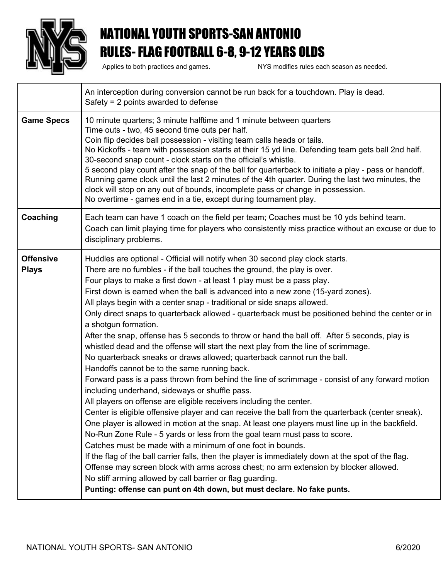

## NATIONAL YOUTH SPORTS-SAN ANTONIO RULES- FLAG FOOTBALL 6-8, 9-12 YEARS OLDS

Applies to both practices and games. NYS modifies rules each season as needed.

|                                  | An interception during conversion cannot be run back for a touchdown. Play is dead.<br>Safety = $2$ points awarded to defense                                                                                                                                                                                                                                                                                                                                                                                                                                                                                                                                                                                                                                                                                                                                                                                                                                                                                                                                                                                                                                                                                                                                                                                                                                                                                                                                                                                                                                                                                                                                                                                                                                             |
|----------------------------------|---------------------------------------------------------------------------------------------------------------------------------------------------------------------------------------------------------------------------------------------------------------------------------------------------------------------------------------------------------------------------------------------------------------------------------------------------------------------------------------------------------------------------------------------------------------------------------------------------------------------------------------------------------------------------------------------------------------------------------------------------------------------------------------------------------------------------------------------------------------------------------------------------------------------------------------------------------------------------------------------------------------------------------------------------------------------------------------------------------------------------------------------------------------------------------------------------------------------------------------------------------------------------------------------------------------------------------------------------------------------------------------------------------------------------------------------------------------------------------------------------------------------------------------------------------------------------------------------------------------------------------------------------------------------------------------------------------------------------------------------------------------------------|
| <b>Game Specs</b>                | 10 minute quarters; 3 minute halftime and 1 minute between quarters<br>Time outs - two, 45 second time outs per half.<br>Coin flip decides ball possession - visiting team calls heads or tails.<br>No Kickoffs - team with possession starts at their 15 yd line. Defending team gets ball 2nd half.<br>30-second snap count - clock starts on the official's whistle.<br>5 second play count after the snap of the ball for quarterback to initiate a play - pass or handoff.<br>Running game clock until the last 2 minutes of the 4th quarter. During the last two minutes, the<br>clock will stop on any out of bounds, incomplete pass or change in possession.<br>No overtime - games end in a tie, except during tournament play.                                                                                                                                                                                                                                                                                                                                                                                                                                                                                                                                                                                                                                                                                                                                                                                                                                                                                                                                                                                                                                 |
| Coaching                         | Each team can have 1 coach on the field per team; Coaches must be 10 yds behind team.<br>Coach can limit playing time for players who consistently miss practice without an excuse or due to<br>disciplinary problems.                                                                                                                                                                                                                                                                                                                                                                                                                                                                                                                                                                                                                                                                                                                                                                                                                                                                                                                                                                                                                                                                                                                                                                                                                                                                                                                                                                                                                                                                                                                                                    |
| <b>Offensive</b><br><b>Plays</b> | Huddles are optional - Official will notify when 30 second play clock starts.<br>There are no fumbles - if the ball touches the ground, the play is over.<br>Four plays to make a first down - at least 1 play must be a pass play.<br>First down is earned when the ball is advanced into a new zone (15-yard zones).<br>All plays begin with a center snap - traditional or side snaps allowed.<br>Only direct snaps to quarterback allowed - quarterback must be positioned behind the center or in<br>a shotgun formation.<br>After the snap, offense has 5 seconds to throw or hand the ball off. After 5 seconds, play is<br>whistled dead and the offense will start the next play from the line of scrimmage.<br>No quarterback sneaks or draws allowed; quarterback cannot run the ball.<br>Handoffs cannot be to the same running back.<br>Forward pass is a pass thrown from behind the line of scrimmage - consist of any forward motion<br>including underhand, sideways or shuffle pass.<br>All players on offense are eligible receivers including the center.<br>Center is eligible offensive player and can receive the ball from the quarterback (center sneak).<br>One player is allowed in motion at the snap. At least one players must line up in the backfield.<br>No-Run Zone Rule - 5 yards or less from the goal team must pass to score.<br>Catches must be made with a minimum of one foot in bounds.<br>If the flag of the ball carrier falls, then the player is immediately down at the spot of the flag.<br>Offense may screen block with arms across chest; no arm extension by blocker allowed.<br>No stiff arming allowed by call barrier or flag guarding.<br>Punting: offense can punt on 4th down, but must declare. No fake punts. |